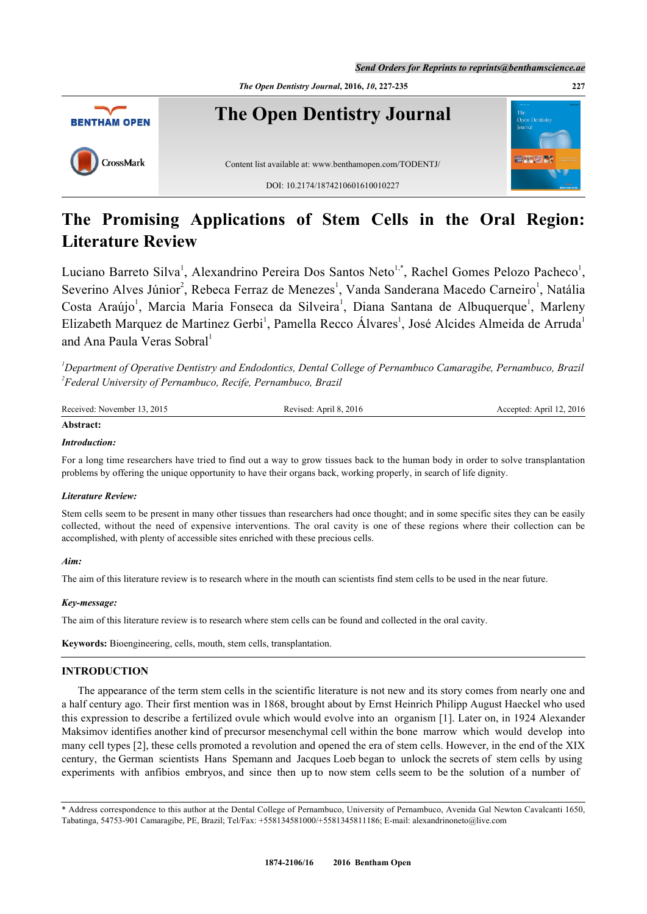

# **The Promising Applications of Stem Cells in the Oral Region: Literature Review**

Luciano Barreto Silva<sup>[1](#page-0-0)</sup>, Alexandrino Pereira Dos Santos Neto<sup>[1,](#page-0-0)[\\*](#page-0-1)</sup>, Rachel Gomes Pelozo Pacheco<sup>1</sup>, Severino Alves Júnior<sup>[2](#page-0-2)</sup>, Rebeca Ferraz de Menezes<sup>[1](#page-0-0)</sup>, Vanda Sanderana Macedo Carneiro<sup>1</sup>, Natália Costa Araújo<sup>[1](#page-0-0)</sup>, Marcia Maria Fonseca da Silveira<sup>1</sup>, Diana Santana de Albuquerque<sup>1</sup>, Marleny Elizabeth Marquez de Martinez Gerbi<sup>[1](#page-0-0)</sup>, Pamella Recco Álvares<sup>1</sup>, José Alcides Almeida de Arruda<sup>1</sup> and Ana Paula Veras Sobral<sup>[1](#page-0-0)</sup>

<span id="page-0-2"></span><span id="page-0-0"></span>*<sup>1</sup>Department of Operative Dentistry and Endodontics, Dental College of Pernambuco Camaragibe, Pernambuco, Brazil 2 Federal University of Pernambuco, Recife, Pernambuco, Brazil*

| Received: November 13, 2015 | Revised: April 8, 2016 | Accepted: April 12, 2016 |
|-----------------------------|------------------------|--------------------------|
| Abstract:                   |                        |                          |

## *Introduction:*

For a long time researchers have tried to find out a way to grow tissues back to the human body in order to solve transplantation problems by offering the unique opportunity to have their organs back, working properly, in search of life dignity.

## *Literature Review:*

Stem cells seem to be present in many other tissues than researchers had once thought; and in some specific sites they can be easily collected, without the need of expensive interventions. The oral cavity is one of these regions where their collection can be accomplished, with plenty of accessible sites enriched with these precious cells.

## *Aim:*

The aim of this literature review is to research where in the mouth can scientists find stem cells to be used in the near future.

## *Key-message:*

The aim of this literature review is to research where stem cells can be found and collected in the oral cavity.

**Keywords:** Bioengineering, cells, mouth, stem cells, transplantation.

# **INTRODUCTION**

The appearance of the term stem cells in the scientific literature is not new and its story comes from nearly one and a half century ago. Their first mention was in 1868, brought about by Ernst Heinrich Philipp August Haeckel who used this expression to describe a fertilized ovule which would evolve into an organism [[1\]](#page-5-0). Later on, in 1924 Alexander Maksimov identifies another kind of precursor mesenchymal cell within the bone marrow which would develop into many cell types [[2\]](#page-5-1), these cells promoted a revolution and opened the era of stem cells. However, in the end of the XIX century, the German scientists Hans Spemann and Jacques Loeb began to unlock the secrets of stem cells by using experiments with anfibios embryos, and since then up to now stem cells seem to be the solution of a number of

<span id="page-0-1"></span>\* Address correspondence to this author at the Dental College of Pernambuco, University of Pernambuco, Avenida Gal Newton Cavalcanti 1650, Tabatinga, 54753-901 Camaragibe, PE, Brazil; Tel/Fax: +558134581000/+5581345811186; E-mail: [alexandrinoneto@live.com](mailto:alexandrinoneto@live.com)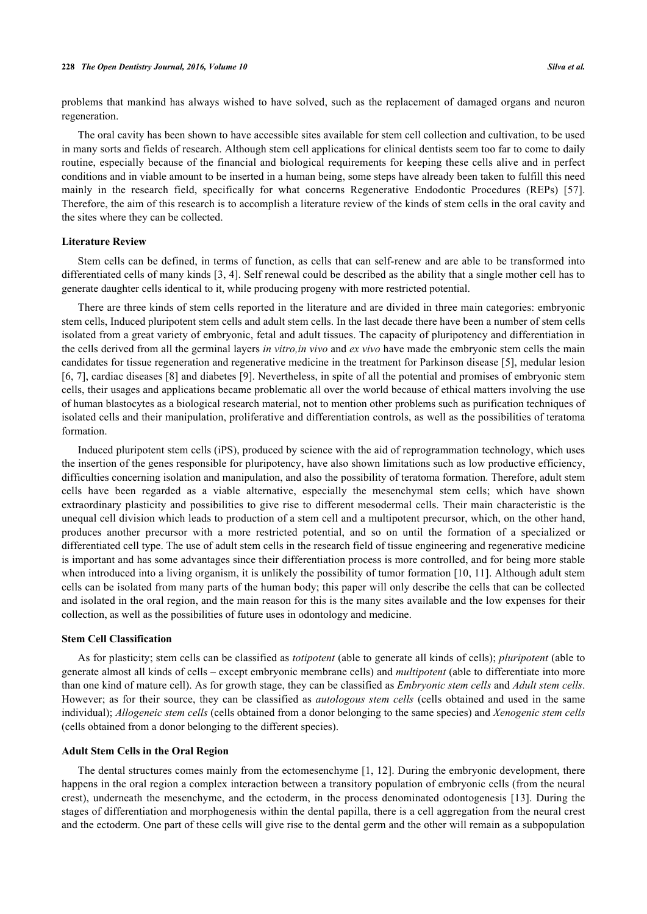problems that mankind has always wished to have solved, such as the replacement of damaged organs and neuron regeneration.

The oral cavity has been shown to have accessible sites available for stem cell collection and cultivation, to be used in many sorts and fields of research. Although stem cell applications for clinical dentists seem too far to come to daily routine, especially because of the financial and biological requirements for keeping these cells alive and in perfect conditions and in viable amount to be inserted in a human being, some steps have already been taken to fulfill this need mainly in the research field, specifically for what concerns Regenerative Endodontic Procedures (REPs) [\[57\]](#page-8-0). Therefore, the aim of this research is to accomplish a literature review of the kinds of stem cells in the oral cavity and the sites where they can be collected.

#### **Literature Review**

Stem cells can be defined, in terms of function, as cells that can self-renew and are able to be transformed into differentiated cells of many kinds [\[3](#page-5-2), [4\]](#page-5-3). Self renewal could be described as the ability that a single mother cell has to generate daughter cells identical to it, while producing progeny with more restricted potential.

There are three kinds of stem cells reported in the literature and are divided in three main categories: embryonic stem cells, Induced pluripotent stem cells and adult stem cells. In the last decade there have been a number of stem cells isolated from a great variety of embryonic, fetal and adult tissues. The capacity of pluripotency and differentiation in the cells derived from all the germinal layers *in vitro,in vivo* and *ex vivo* have made the embryonic stem cells the main candidates for tissue regeneration and regenerative medicine in the treatment for Parkinson disease [[5](#page-5-4)], medular lesion [\[6](#page-5-5), [7\]](#page-5-6), cardiac diseases [[8\]](#page-5-7) and diabetes [[9\]](#page-5-8). Nevertheless, in spite of all the potential and promises of embryonic stem cells, their usages and applications became problematic all over the world because of ethical matters involving the use of human blastocytes as a biological research material, not to mention other problems such as purification techniques of isolated cells and their manipulation, proliferative and differentiation controls, as well as the possibilities of teratoma formation.

Induced pluripotent stem cells (iPS), produced by science with the aid of reprogrammation technology, which uses the insertion of the genes responsible for pluripotency, have also shown limitations such as low productive efficiency, difficulties concerning isolation and manipulation, and also the possibility of teratoma formation. Therefore, adult stem cells have been regarded as a viable alternative, especially the mesenchymal stem cells; which have shown extraordinary plasticity and possibilities to give rise to different mesodermal cells. Their main characteristic is the unequal cell division which leads to production of a stem cell and a multipotent precursor, which, on the other hand, produces another precursor with a more restricted potential, and so on until the formation of a specialized or differentiated cell type. The use of adult stem cells in the research field of tissue engineering and regenerative medicine is important and has some advantages since their differentiation process is more controlled, and for being more stable when introduced into a living organism, it is unlikely the possibility of tumor formation [\[10](#page-5-9), [11\]](#page-6-0). Although adult stem cells can be isolated from many parts of the human body; this paper will only describe the cells that can be collected and isolated in the oral region, and the main reason for this is the many sites available and the low expenses for their collection, as well as the possibilities of future uses in odontology and medicine.

#### **Stem Cell Classification**

As for plasticity; stem cells can be classified as *totipotent* (able to generate all kinds of cells); *pluripotent* (able to generate almost all kinds of cells – except embryonic membrane cells) and *multipotent* (able to differentiate into more than one kind of mature cell). As for growth stage, they can be classified as *Embryonic stem cells* and *Adult stem cells*. However; as for their source, they can be classified as *autologous stem cells* (cells obtained and used in the same individual); *Allogeneic stem cells* (cells obtained from a donor belonging to the same species) and *Xenogenic stem cells* (cells obtained from a donor belonging to the different species).

#### **Adult Stem Cells in the Oral Region**

The dental structures comes mainly from the ectomesenchyme [\[1](#page-5-0), [12](#page-6-1)]. During the embryonic development, there happens in the oral region a complex interaction between a transitory population of embryonic cells (from the neural crest), underneath the mesenchyme, and the ectoderm, in the process denominated odontogenesis [[13\]](#page-6-2). During the stages of differentiation and morphogenesis within the dental papilla, there is a cell aggregation from the neural crest and the ectoderm. One part of these cells will give rise to the dental germ and the other will remain as a subpopulation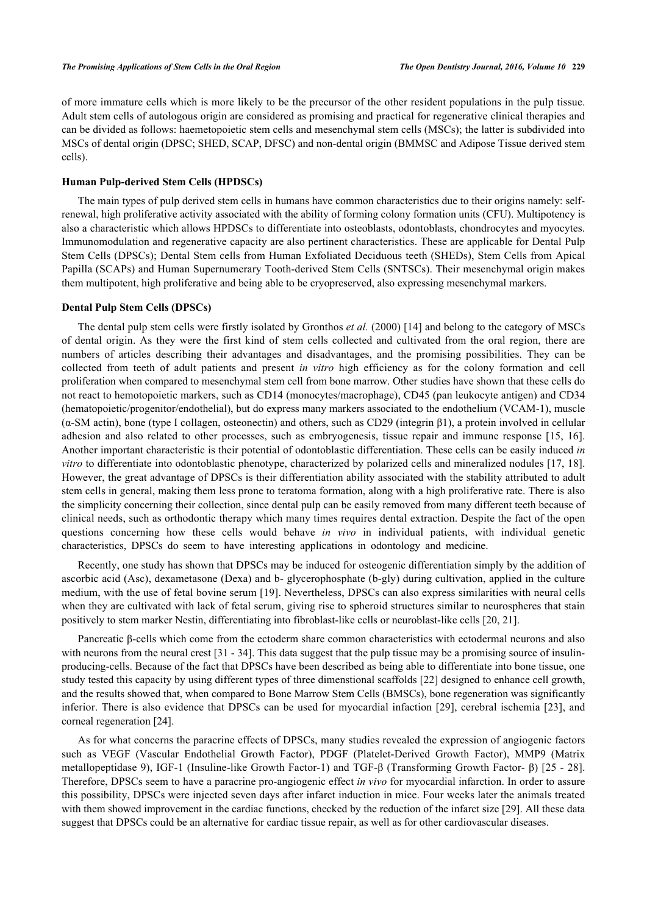of more immature cells which is more likely to be the precursor of the other resident populations in the pulp tissue. Adult stem cells of autologous origin are considered as promising and practical for regenerative clinical therapies and can be divided as follows: haemetopoietic stem cells and mesenchymal stem cells (MSCs); the latter is subdivided into MSCs of dental origin (DPSC; SHED, SCAP, DFSC) and non-dental origin (BMMSC and Adipose Tissue derived stem cells).

#### **Human Pulp-derived Stem Cells (HPDSCs)**

The main types of pulp derived stem cells in humans have common characteristics due to their origins namely: selfrenewal, high proliferative activity associated with the ability of forming colony formation units (CFU). Multipotency is also a characteristic which allows HPDSCs to differentiate into osteoblasts, odontoblasts, chondrocytes and myocytes. Immunomodulation and regenerative capacity are also pertinent characteristics. These are applicable for Dental Pulp Stem Cells (DPSCs); Dental Stem cells from Human Exfoliated Deciduous teeth (SHEDs), Stem Cells from Apical Papilla (SCAPs) and Human Supernumerary Tooth-derived Stem Cells (SNTSCs). Their mesenchymal origin makes them multipotent, high proliferative and being able to be cryopreserved, also expressing mesenchymal markers.

#### **Dental Pulp Stem Cells (DPSCs)**

The dental pulp stem cells were firstly isolated by Gronthos *et al.* (2000) [[14](#page-6-3)] and belong to the category of MSCs of dental origin. As they were the first kind of stem cells collected and cultivated from the oral region, there are numbers of articles describing their advantages and disadvantages, and the promising possibilities. They can be collected from teeth of adult patients and present *in vitro* high efficiency as for the colony formation and cell proliferation when compared to mesenchymal stem cell from bone marrow. Other studies have shown that these cells do not react to hemotopoietic markers, such as CD14 (monocytes/macrophage), CD45 (pan leukocyte antigen) and CD34 (hematopoietic/progenitor/endothelial), but do express many markers associated to the endothelium (VCAM-1), muscle (α-SM actin), bone (type I collagen, osteonectin) and others, such as CD29 (integrin β1), a protein involved in cellular adhesion and also related to other processes, such as embryogenesis, tissue repair and immune response [[15](#page-6-4), [16\]](#page-6-5). Another important characteristic is their potential of odontoblastic differentiation. These cells can be easily induced *in vitro* to differentiate into odontoblastic phenotype, characterized by polarized cells and mineralized nodules [[17](#page-6-6), [18\]](#page-6-7). However, the great advantage of DPSCs is their differentiation ability associated with the stability attributed to adult stem cells in general, making them less prone to teratoma formation, along with a high proliferative rate. There is also the simplicity concerning their collection, since dental pulp can be easily removed from many different teeth because of clinical needs, such as orthodontic therapy which many times requires dental extraction. Despite the fact of the open questions concerning how these cells would behave *in vivo* in individual patients, with individual genetic characteristics, DPSCs do seem to have interesting applications in odontology and medicine.

Recently, one study has shown that DPSCs may be induced for osteogenic differentiation simply by the addition of ascorbic acid (Asc), dexametasone (Dexa) and b- glycerophosphate (b-gly) during cultivation, applied in the culture medium, with the use of fetal bovine serum [[19\]](#page-6-8). Nevertheless, DPSCs can also express similarities with neural cells when they are cultivated with lack of fetal serum, giving rise to spheroid structures similar to neurospheres that stain positively to stem marker Nestin, differentiating into fibroblast-like cells or neuroblast-like cells [\[20](#page-6-9), [21](#page-6-10)].

Pancreatic β-cells which come from the ectoderm share common characteristics with ectodermal neurons and also with neurons from the neural crest [\[31](#page-7-0) - [34\]](#page-7-1). This data suggest that the pulp tissue may be a promising source of insulinproducing-cells. Because of the fact that DPSCs have been described as being able to differentiate into bone tissue, one study tested this capacity by using different types of three dimenstional scaffolds [[22\]](#page-6-11) designed to enhance cell growth, and the results showed that, when compared to Bone Marrow Stem Cells (BMSCs), bone regeneration was significantly inferior. There is also evidence that DPSCs can be used for myocardial infaction [[29\]](#page-6-12), cerebral ischemia [\[23](#page-6-13)], and corneal regeneration [\[24](#page-6-14)].

As for what concerns the paracrine effects of DPSCs, many studies revealed the expression of angiogenic factors such as VEGF (Vascular Endothelial Growth Factor), PDGF (Platelet-Derived Growth Factor), MMP9 (Matrix metallopeptidase 9), IGF-1 (Insuline-like Growth Factor-1) and TGF-β (Transforming Growth Factor- β) [[25](#page-6-15) - [28\]](#page-6-16). Therefore, DPSCs seem to have a paracrine pro-angiogenic effect *in vivo* for myocardial infarction. In order to assure this possibility, DPSCs were injected seven days after infarct induction in mice. Four weeks later the animals treated with them showed improvement in the cardiac functions, checked by the reduction of the infarct size [\[29](#page-6-12)]. All these data suggest that DPSCs could be an alternative for cardiac tissue repair, as well as for other cardiovascular diseases.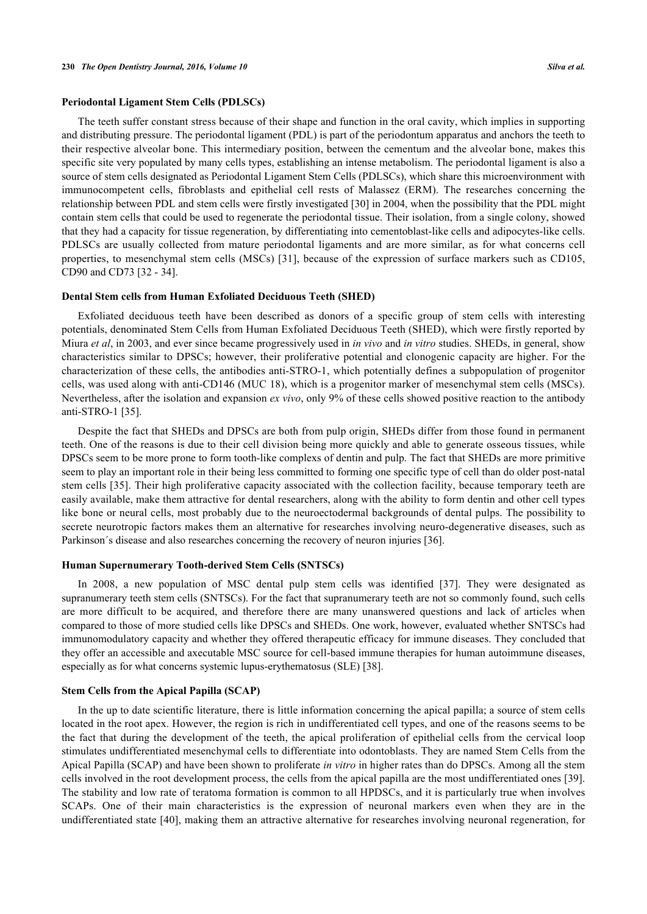### **Periodontal Ligament Stem Cells (PDLSCs)**

The teeth suffer constant stress because of their shape and function in the oral cavity, which implies in supporting and distributing pressure. The periodontal ligament (PDL) is part of the periodontum apparatus and anchors the teeth to their respective alveolar bone. This intermediary position, between the cementum and the alveolar bone, makes this specific site very populated by many cells types, establishing an intense metabolism. The periodontal ligament is also a source of stem cells designated as Periodontal Ligament Stem Cells (PDLSCs), which share this microenvironment with immunocompetent cells, fibroblasts and epithelial cell rests of Malassez (ERM). The researches concerning the relationship between PDL and stem cells were firstly investigated [\[30](#page-6-17)] in 2004, when the possibility that the PDL might contain stem cells that could be used to regenerate the periodontal tissue. Their isolation, from a single colony, showed that they had a capacity for tissue regeneration, by differentiating into cementoblast-like cells and adipocytes-like cells. PDLSCs are usually collected from mature periodontal ligaments and are more similar, as for what concerns cell properties, to mesenchymal stem cells (MSCs) [\[31\]](#page-7-0), because of the expression of surface markers such as CD105, CD90 and CD73 [[32](#page-7-2) - [34](#page-7-1)].

### **Dental Stem cells from Human Exfoliated Deciduous Teeth (SHED)**

Exfoliated deciduous teeth have been described as donors of a specific group of stem cells with interesting potentials, denominated Stem Cells from Human Exfoliated Deciduous Teeth (SHED), which were firstly reported by Miura *et al*, in 2003, and ever since became progressively used in *in vivo* and *in vitro* studies. SHEDs, in general, show characteristics similar to DPSCs; however, their proliferative potential and clonogenic capacity are higher. For the characterization of these cells, the antibodies anti-STRO-1, which potentially defines a subpopulation of progenitor cells, was used along with anti-CD146 (MUC 18), which is a progenitor marker of mesenchymal stem cells (MSCs). Nevertheless, after the isolation and expansion *ex vivo*, only 9% of these cells showed positive reaction to the antibody anti-STRO-1 [[35\]](#page-7-3).

Despite the fact that SHEDs and DPSCs are both from pulp origin, SHEDs differ from those found in permanent teeth. One of the reasons is due to their cell division being more quickly and able to generate osseous tissues, while DPSCs seem to be more prone to form tooth-like complexs of dentin and pulp. The fact that SHEDs are more primitive seem to play an important role in their being less committed to forming one specific type of cell than do older post-natal stem cells [[35\]](#page-7-3). Their high proliferative capacity associated with the collection facility, because temporary teeth are easily available, make them attractive for dental researchers, along with the ability to form dentin and other cell types like bone or neural cells, most probably due to the neuroectodermal backgrounds of dental pulps. The possibility to secrete neurotropic factors makes them an alternative for researches involving neuro-degenerative diseases, such as Parkinson´s disease and also researches concerning the recovery of neuron injuries [[36\]](#page-7-4).

#### **Human Supernumerary Tooth-derived Stem Cells (SNTSCs)**

In 2008, a new population of MSC dental pulp stem cells was identified[[37](#page-7-5)]. They were designated as supranumerary teeth stem cells (SNTSCs). For the fact that supranumerary teeth are not so commonly found, such cells are more difficult to be acquired, and therefore there are many unanswered questions and lack of articles when compared to those of more studied cells like DPSCs and SHEDs. One work, however, evaluated whether SNTSCs had immunomodulatory capacity and whether they offered therapeutic efficacy for immune diseases. They concluded that they offer an accessible and axecutable MSC source for cell-based immune therapies for human autoimmune diseases, especially as for what concerns systemic lupus-erythematosus (SLE) [\[38](#page-7-6)].

#### **Stem Cells from the Apical Papilla (SCAP)**

In the up to date scientific literature, there is little information concerning the apical papilla; a source of stem cells located in the root apex. However, the region is rich in undifferentiated cell types, and one of the reasons seems to be the fact that during the development of the teeth, the apical proliferation of epithelial cells from the cervical loop stimulates undifferentiated mesenchymal cells to differentiate into odontoblasts. They are named Stem Cells from the Apical Papilla (SCAP) and have been shown to proliferate *in vitro* in higher rates than do DPSCs. Among all the stem cells involved in the root development process, the cells from the apical papilla are the most undifferentiated ones [[39\]](#page-7-7). The stability and low rate of teratoma formation is common to all HPDSCs, and it is particularly true when involves SCAPs. One of their main characteristics is the expression of neuronal markers even when they are in the undifferentiated state [[40\]](#page-7-8), making them an attractive alternative for researches involving neuronal regeneration, for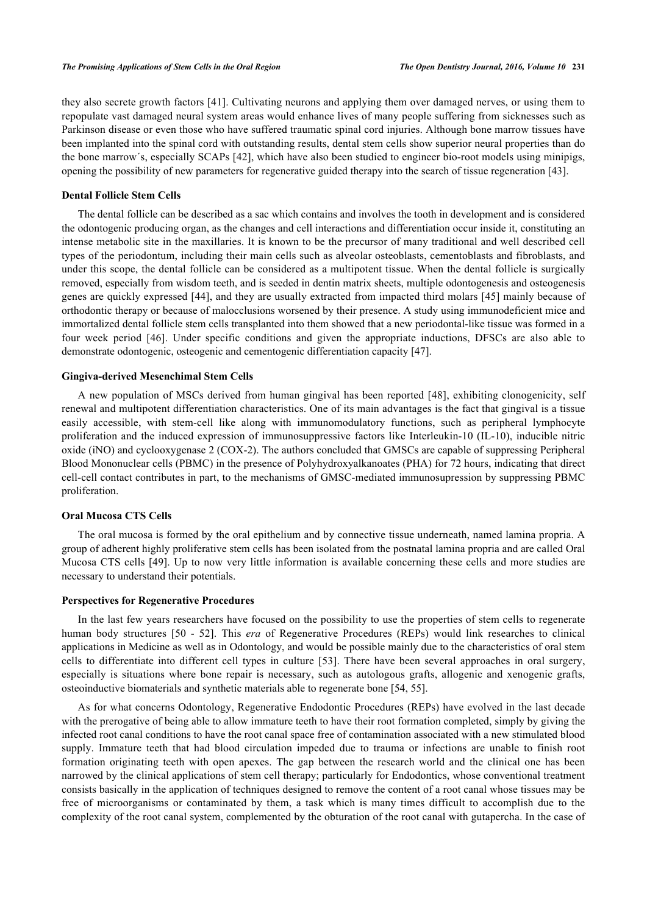they also secrete growth factors [\[41\]](#page-7-9). Cultivating neurons and applying them over damaged nerves, or using them to repopulate vast damaged neural system areas would enhance lives of many people suffering from sicknesses such as Parkinson disease or even those who have suffered traumatic spinal cord injuries. Although bone marrow tissues have been implanted into the spinal cord with outstanding results, dental stem cells show superior neural properties than do the bone marrow´s, especially SCAPs [[42\]](#page-7-10), which have also been studied to engineer bio-root models using minipigs, opening the possibility of new parameters for regenerative guided therapy into the search of tissue regeneration [[43\]](#page-7-11).

# **Dental Follicle Stem Cells**

The dental follicle can be described as a sac which contains and involves the tooth in development and is considered the odontogenic producing organ, as the changes and cell interactions and differentiation occur inside it, constituting an intense metabolic site in the maxillaries. It is known to be the precursor of many traditional and well described cell types of the periodontum, including their main cells such as alveolar osteoblasts, cementoblasts and fibroblasts, and under this scope, the dental follicle can be considered as a multipotent tissue. When the dental follicle is surgically removed, especially from wisdom teeth, and is seeded in dentin matrix sheets, multiple odontogenesis and osteogenesis genes are quickly expressed [\[44\]](#page-7-12), and they are usually extracted from impacted third molars [\[45\]](#page-7-13) mainly because of orthodontic therapy or because of malocclusions worsened by their presence. A study using immunodeficient mice and immortalized dental follicle stem cells transplanted into them showed that a new periodontal-like tissue was formed in a four week period [\[46\]](#page-7-14). Under specific conditions and given the appropriate inductions, DFSCs are also able to demonstrate odontogenic, osteogenic and cementogenic differentiation capacity [[47\]](#page-7-15).

# **Gingiva-derived Mesenchimal Stem Cells**

A new population of MSCs derived from human gingival has been reported [\[48\]](#page-7-16), exhibiting clonogenicity, self renewal and multipotent differentiation characteristics. One of its main advantages is the fact that gingival is a tissue easily accessible, with stem-cell like along with immunomodulatory functions, such as peripheral lymphocyte proliferation and the induced expression of immunosuppressive factors like Interleukin-10 (IL-10), inducible nitric oxide (iNO) and cyclooxygenase 2 (COX-2). The authors concluded that GMSCs are capable of suppressing Peripheral Blood Mononuclear cells (PBMC) in the presence of Polyhydroxyalkanoates (PHA) for 72 hours, indicating that direct cell-cell contact contributes in part, to the mechanisms of GMSC-mediated immunosupression by suppressing PBMC proliferation.

# **Oral Mucosa CTS Cells**

The oral mucosa is formed by the oral epithelium and by connective tissue underneath, named lamina propria. A group of adherent highly proliferative stem cells has been isolated from the postnatal lamina propria and are called Oral Mucosa CTS cells [\[49\]](#page-7-17). Up to now very little information is available concerning these cells and more studies are necessary to understand their potentials.

#### **Perspectives for Regenerative Procedures**

In the last few years researchers have focused on the possibility to use the properties of stem cells to regenerate human body structures[[50](#page-7-18) - [52\]](#page-8-1). This *era* of Regenerative Procedures (REPs) would link researches to clinical applications in Medicine as well as in Odontology, and would be possible mainly due to the characteristics of oral stem cells to differentiate into different cell types in culture[[53\]](#page-8-2). There have been several approaches in oral surgery, especially is situations where bone repair is necessary, such as autologous grafts, allogenic and xenogenic grafts, osteoinductive biomaterials and synthetic materials able to regenerate bone [\[54](#page-8-3), [55](#page-8-4)].

As for what concerns Odontology, Regenerative Endodontic Procedures (REPs) have evolved in the last decade with the prerogative of being able to allow immature teeth to have their root formation completed, simply by giving the infected root canal conditions to have the root canal space free of contamination associated with a new stimulated blood supply. Immature teeth that had blood circulation impeded due to trauma or infections are unable to finish root formation originating teeth with open apexes. The gap between the research world and the clinical one has been narrowed by the clinical applications of stem cell therapy; particularly for Endodontics, whose conventional treatment consists basically in the application of techniques designed to remove the content of a root canal whose tissues may be free of microorganisms or contaminated by them, a task which is many times difficult to accomplish due to the complexity of the root canal system, complemented by the obturation of the root canal with gutapercha. In the case of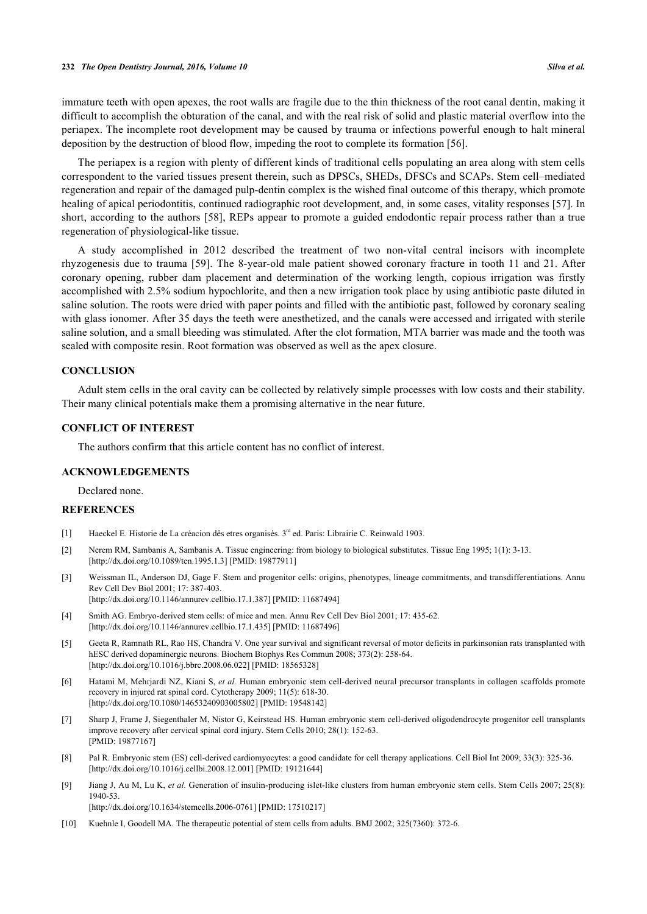immature teeth with open apexes, the root walls are fragile due to the thin thickness of the root canal dentin, making it difficult to accomplish the obturation of the canal, and with the real risk of solid and plastic material overflow into the periapex. The incomplete root development may be caused by trauma or infections powerful enough to halt mineral deposition by the destruction of blood flow, impeding the root to complete its formation [[56\]](#page-8-5).

The periapex is a region with plenty of different kinds of traditional cells populating an area along with stem cells correspondent to the varied tissues present therein, such as DPSCs, SHEDs, DFSCs and SCAPs. Stem cell–mediated regeneration and repair of the damaged pulp-dentin complex is the wished final outcome of this therapy, which promote healing of apical periodontitis, continued radiographic root development, and, in some cases, vitality responses [[57\]](#page-8-0). In short, according to the authors [\[58\]](#page-8-6), REPs appear to promote a guided endodontic repair process rather than a true regeneration of physiological-like tissue.

A study accomplished in 2012 described the treatment of two non-vital central incisors with incomplete rhyzogenesis due to trauma [[59\]](#page-8-7). The 8-year-old male patient showed coronary fracture in tooth 11 and 21. After coronary opening, rubber dam placement and determination of the working length, copious irrigation was firstly accomplished with 2.5% sodium hypochlorite, and then a new irrigation took place by using antibiotic paste diluted in saline solution. The roots were dried with paper points and filled with the antibiotic past, followed by coronary sealing with glass ionomer. After 35 days the teeth were anesthetized, and the canals were accessed and irrigated with sterile saline solution, and a small bleeding was stimulated. After the clot formation, MTA barrier was made and the tooth was sealed with composite resin. Root formation was observed as well as the apex closure.

#### **CONCLUSION**

Adult stem cells in the oral cavity can be collected by relatively simple processes with low costs and their stability. Their many clinical potentials make them a promising alternative in the near future.

# **CONFLICT OF INTEREST**

The authors confirm that this article content has no conflict of interest.

#### **ACKNOWLEDGEMENTS**

Declared none.

# **REFERENCES**

- <span id="page-5-0"></span>[1] Haeckel E. Historie de La créacion dês etres organisés. 3rd ed. Paris: Librairie C. Reinwald 1903.
- <span id="page-5-1"></span>[2] Nerem RM, Sambanis A, Sambanis A. Tissue engineering: from biology to biological substitutes. Tissue Eng 1995; 1(1): 3-13. [\[http://dx.doi.org/10.1089/ten.1995.1.3\]](http://dx.doi.org/10.1089/ten.1995.1.3) [PMID: [19877911](http://www.ncbi.nlm.nih.gov/pubmed/19877911)]
- <span id="page-5-2"></span>[3] Weissman IL, Anderson DJ, Gage F. Stem and progenitor cells: origins, phenotypes, lineage commitments, and transdifferentiations. Annu Rev Cell Dev Biol 2001; 17: 387-403. [\[http://dx.doi.org/10.1146/annurev.cellbio.17.1.387](http://dx.doi.org/10.1146/annurev.cellbio.17.1.387)] [PMID: [11687494\]](http://www.ncbi.nlm.nih.gov/pubmed/11687494)
- <span id="page-5-3"></span>[4] Smith AG. Embryo-derived stem cells: of mice and men. Annu Rev Cell Dev Biol 2001; 17: 435-62. [\[http://dx.doi.org/10.1146/annurev.cellbio.17.1.435](http://dx.doi.org/10.1146/annurev.cellbio.17.1.435)] [PMID: [11687496\]](http://www.ncbi.nlm.nih.gov/pubmed/11687496)
- <span id="page-5-4"></span>[5] Geeta R, Ramnath RL, Rao HS, Chandra V. One year survival and significant reversal of motor deficits in parkinsonian rats transplanted with hESC derived dopaminergic neurons. Biochem Biophys Res Commun 2008; 373(2): 258-64. [\[http://dx.doi.org/10.1016/j.bbrc.2008.06.022](http://dx.doi.org/10.1016/j.bbrc.2008.06.022)] [PMID: [18565328\]](http://www.ncbi.nlm.nih.gov/pubmed/18565328)
- <span id="page-5-5"></span>[6] Hatami M, Mehrjardi NZ, Kiani S, *et al.* Human embryonic stem cell-derived neural precursor transplants in collagen scaffolds promote recovery in injured rat spinal cord. Cytotherapy 2009; 11(5): 618-30. [\[http://dx.doi.org/10.1080/14653240903005802\]](http://dx.doi.org/10.1080/14653240903005802) [PMID: [19548142](http://www.ncbi.nlm.nih.gov/pubmed/19548142)]
- <span id="page-5-6"></span>[7] Sharp J, Frame J, Siegenthaler M, Nistor G, Keirstead HS. Human embryonic stem cell-derived oligodendrocyte progenitor cell transplants improve recovery after cervical spinal cord injury. Stem Cells 2010; 28(1): 152-63. [PMID: [19877167\]](http://www.ncbi.nlm.nih.gov/pubmed/19877167)
- <span id="page-5-7"></span>[8] Pal R. Embryonic stem (ES) cell-derived cardiomyocytes: a good candidate for cell therapy applications. Cell Biol Int 2009; 33(3): 325-36. [\[http://dx.doi.org/10.1016/j.cellbi.2008.12.001\]](http://dx.doi.org/10.1016/j.cellbi.2008.12.001) [PMID: [19121644](http://www.ncbi.nlm.nih.gov/pubmed/19121644)]
- <span id="page-5-8"></span>[9] Jiang J, Au M, Lu K, *et al.* Generation of insulin-producing islet-like clusters from human embryonic stem cells. Stem Cells 2007; 25(8): 1940-53. [\[http://dx.doi.org/10.1634/stemcells.2006-0761](http://dx.doi.org/10.1634/stemcells.2006-0761)] [PMID: [17510217\]](http://www.ncbi.nlm.nih.gov/pubmed/17510217)
- <span id="page-5-9"></span>[10] Kuehnle I, Goodell MA. The therapeutic potential of stem cells from adults. BMJ 2002; 325(7360): 372-6.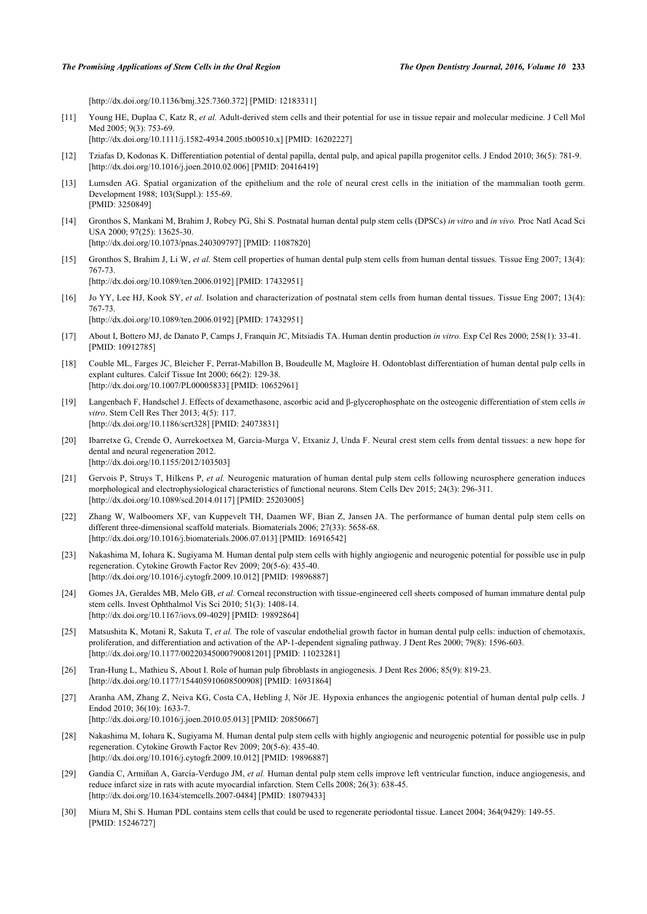[\[http://dx.doi.org/10.1136/bmj.325.7360.372](http://dx.doi.org/10.1136/bmj.325.7360.372)] [PMID: [12183311\]](http://www.ncbi.nlm.nih.gov/pubmed/12183311)

<span id="page-6-0"></span>[11] Young HE, Duplaa C, Katz R, *et al.* Adult-derived stem cells and their potential for use in tissue repair and molecular medicine. J Cell Mol Med 2005; 9(3): 753-69.

[\[http://dx.doi.org/10.1111/j.1582-4934.2005.tb00510.x\]](http://dx.doi.org/10.1111/j.1582-4934.2005.tb00510.x) [PMID: [16202227](http://www.ncbi.nlm.nih.gov/pubmed/16202227)]

- <span id="page-6-1"></span>[12] Tziafas D, Kodonas K. Differentiation potential of dental papilla, dental pulp, and apical papilla progenitor cells. J Endod 2010; 36(5): 781-9. [\[http://dx.doi.org/10.1016/j.joen.2010.02.006\]](http://dx.doi.org/10.1016/j.joen.2010.02.006) [PMID: [20416419](http://www.ncbi.nlm.nih.gov/pubmed/20416419)]
- <span id="page-6-2"></span>[13] Lumsden AG. Spatial organization of the epithelium and the role of neural crest cells in the initiation of the mammalian tooth germ. Development 1988; 103(Suppl.): 155-69. [PMID: [3250849\]](http://www.ncbi.nlm.nih.gov/pubmed/3250849)
- <span id="page-6-3"></span>[14] Gronthos S, Mankani M, Brahim J, Robey PG, Shi S. Postnatal human dental pulp stem cells (DPSCs) *in vitro* and *in vivo.* Proc Natl Acad Sci USA 2000; 97(25): 13625-30. [\[http://dx.doi.org/10.1073/pnas.240309797](http://dx.doi.org/10.1073/pnas.240309797)] [PMID: [11087820](http://www.ncbi.nlm.nih.gov/pubmed/11087820)]
- <span id="page-6-4"></span>[15] Gronthos S, Brahim J, Li W, *et al.* Stem cell properties of human dental pulp stem cells from human dental tissues. Tissue Eng 2007; 13(4): 767-73. [\[http://dx.doi.org/10.1089/ten.2006.0192\]](http://dx.doi.org/10.1089/ten.2006.0192) [PMID: [17432951](http://www.ncbi.nlm.nih.gov/pubmed/17432951)]
- <span id="page-6-5"></span>[16] Jo YY, Lee HJ, Kook SY, *et al.* Isolation and characterization of postnatal stem cells from human dental tissues. Tissue Eng 2007; 13(4): 767-73. [\[http://dx.doi.org/10.1089/ten.2006.0192\]](http://dx.doi.org/10.1089/ten.2006.0192) [PMID: [17432951](http://www.ncbi.nlm.nih.gov/pubmed/17432951)]
- <span id="page-6-6"></span>[17] About I, Bottero MJ, de Danato P, Camps J, Franquin JC, Mitsiadis TA. Human dentin production *in vitro.* Exp Cel Res 2000; 258(1): 33-41. [PMID: [10912785\]](http://www.ncbi.nlm.nih.gov/pubmed/10912785)
- <span id="page-6-7"></span>[18] Couble ML, Farges JC, Bleicher F, Perrat-Mabillon B, Boudeulle M, Magloire H. Odontoblast differentiation of human dental pulp cells in explant cultures. Calcif Tissue Int 2000; 66(2): 129-38. [\[http://dx.doi.org/10.1007/PL00005833](http://dx.doi.org/10.1007/PL00005833)] [PMID: [10652961\]](http://www.ncbi.nlm.nih.gov/pubmed/10652961)
- <span id="page-6-8"></span>[19] Langenbach F, Handschel J. Effects of dexamethasone, ascorbic acid and β-glycerophosphate on the osteogenic differentiation of stem cells *in vitro*. Stem Cell Res Ther 2013; 4(5): 117. [\[http://dx.doi.org/10.1186/scrt328](http://dx.doi.org/10.1186/scrt328)] [PMID: [24073831\]](http://www.ncbi.nlm.nih.gov/pubmed/24073831)
- <span id="page-6-9"></span>[20] Ibarretxe G, Crende O, Aurrekoetxea M, Garcia-Murga V, Etxaniz J, Unda F. Neural crest stem cells from dental tissues: a new hope for dental and neural regeneration 2012. [\[http://dx.doi.org/10.1155/2012/103503](http://dx.doi.org/10.1155/2012/103503)]
- <span id="page-6-10"></span>[21] Gervois P, Struys T, Hilkens P, *et al.* Neurogenic maturation of human dental pulp stem cells following neurosphere generation induces morphological and electrophysiological characteristics of functional neurons. Stem Cells Dev 2015; 24(3): 296-311. [\[http://dx.doi.org/10.1089/scd.2014.0117](http://dx.doi.org/10.1089/scd.2014.0117)] [PMID: [25203005](http://www.ncbi.nlm.nih.gov/pubmed/25203005)]
- <span id="page-6-11"></span>[22] Zhang W, Walboomers XF, van Kuppevelt TH, Daamen WF, Bian Z, Jansen JA. The performance of human dental pulp stem cells on different three-dimensional scaffold materials. Biomaterials 2006; 27(33): 5658-68. [\[http://dx.doi.org/10.1016/j.biomaterials.2006.07.013\]](http://dx.doi.org/10.1016/j.biomaterials.2006.07.013) [PMID: [16916542](http://www.ncbi.nlm.nih.gov/pubmed/16916542)]
- <span id="page-6-13"></span>[23] Nakashima M, Iohara K, Sugiyama M. Human dental pulp stem cells with highly angiogenic and neurogenic potential for possible use in pulp regeneration. Cytokine Growth Factor Rev 2009; 20(5-6): 435-40. [\[http://dx.doi.org/10.1016/j.cytogfr.2009.10.012](http://dx.doi.org/10.1016/j.cytogfr.2009.10.012)] [PMID: [19896887\]](http://www.ncbi.nlm.nih.gov/pubmed/19896887)
- <span id="page-6-14"></span>[24] Gomes JA, Geraldes MB, Melo GB, *et al.* Corneal reconstruction with tissue-engineered cell sheets composed of human immature dental pulp stem cells. Invest Ophthalmol Vis Sci 2010; 51(3): 1408-14. [\[http://dx.doi.org/10.1167/iovs.09-4029\]](http://dx.doi.org/10.1167/iovs.09-4029) [PMID: [19892864](http://www.ncbi.nlm.nih.gov/pubmed/19892864)]
- <span id="page-6-15"></span>[25] Matsushita K, Motani R, Sakuta T, *et al.* The role of vascular endothelial growth factor in human dental pulp cells: induction of chemotaxis, proliferation, and differentiation and activation of the AP-1-dependent signaling pathway. J Dent Res 2000; 79(8): 1596-603. [\[http://dx.doi.org/10.1177/00220345000790081201\]](http://dx.doi.org/10.1177/00220345000790081201) [PMID: [11023281](http://www.ncbi.nlm.nih.gov/pubmed/11023281)]
- [26] Tran-Hung L, Mathieu S, About I. Role of human pulp fibroblasts in angiogenesis. J Dent Res 2006; 85(9): 819-23. [\[http://dx.doi.org/10.1177/154405910608500908\]](http://dx.doi.org/10.1177/154405910608500908) [PMID: [16931864](http://www.ncbi.nlm.nih.gov/pubmed/16931864)]
- [27] Aranha AM, Zhang Z, Neiva KG, Costa CA, Hebling J, Nör JE. Hypoxia enhances the angiogenic potential of human dental pulp cells. J Endod 2010; 36(10): 1633-7. [\[http://dx.doi.org/10.1016/j.joen.2010.05.013\]](http://dx.doi.org/10.1016/j.joen.2010.05.013) [PMID: [20850667](http://www.ncbi.nlm.nih.gov/pubmed/20850667)]
- <span id="page-6-16"></span>[28] Nakashima M, Iohara K, Sugiyama M. Human dental pulp stem cells with highly angiogenic and neurogenic potential for possible use in pulp regeneration. Cytokine Growth Factor Rev 2009; 20(5-6): 435-40. [\[http://dx.doi.org/10.1016/j.cytogfr.2009.10.012](http://dx.doi.org/10.1016/j.cytogfr.2009.10.012)] [PMID: [19896887\]](http://www.ncbi.nlm.nih.gov/pubmed/19896887)
- <span id="page-6-12"></span>[29] Gandia C, Armiñan A, García-Verdugo JM, *et al.* Human dental pulp stem cells improve left ventricular function, induce angiogenesis, and reduce infarct size in rats with acute myocardial infarction. Stem Cells 2008; 26(3): 638-45. [\[http://dx.doi.org/10.1634/stemcells.2007-0484](http://dx.doi.org/10.1634/stemcells.2007-0484)] [PMID: [18079433\]](http://www.ncbi.nlm.nih.gov/pubmed/18079433)
- <span id="page-6-17"></span>[30] Miura M, Shi S. Human PDL contains stem cells that could be used to regenerate periodontal tissue. Lancet 2004; 364(9429): 149-55. [PMID: [15246727\]](http://www.ncbi.nlm.nih.gov/pubmed/15246727)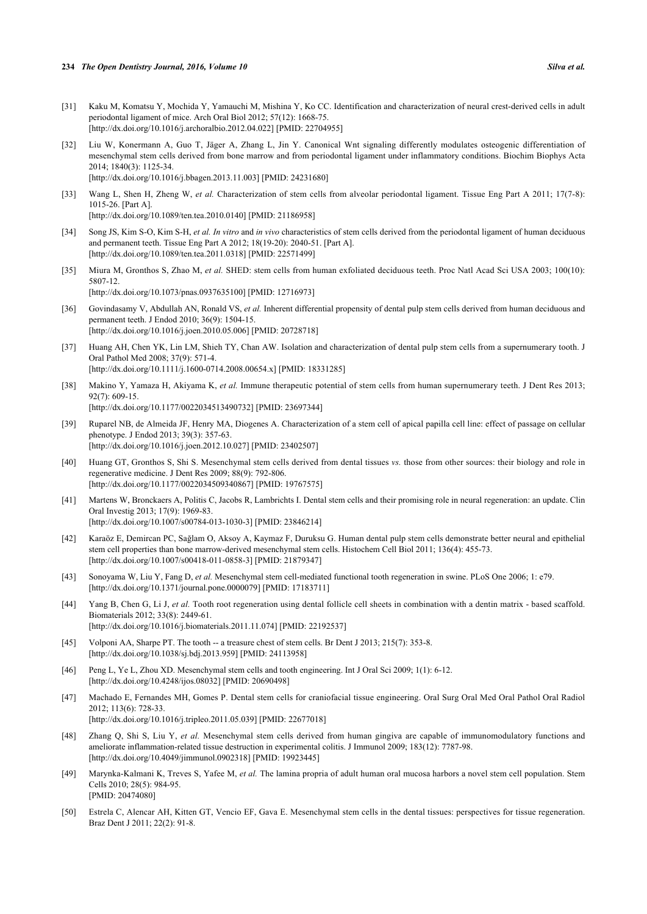- <span id="page-7-0"></span>[31] Kaku M, Komatsu Y, Mochida Y, Yamauchi M, Mishina Y, Ko CC. Identification and characterization of neural crest-derived cells in adult periodontal ligament of mice. Arch Oral Biol 2012; 57(12): 1668-75. [\[http://dx.doi.org/10.1016/j.archoralbio.2012.04.022](http://dx.doi.org/10.1016/j.archoralbio.2012.04.022)] [PMID: [22704955](http://www.ncbi.nlm.nih.gov/pubmed/22704955)]
- <span id="page-7-2"></span>[32] Liu W, Konermann A, Guo T, Jäger A, Zhang L, Jin Y. Canonical Wnt signaling differently modulates osteogenic differentiation of mesenchymal stem cells derived from bone marrow and from periodontal ligament under inflammatory conditions. Biochim Biophys Acta 2014; 1840(3): 1125-34. [\[http://dx.doi.org/10.1016/j.bbagen.2013.11.003](http://dx.doi.org/10.1016/j.bbagen.2013.11.003)] [PMID: [24231680\]](http://www.ncbi.nlm.nih.gov/pubmed/24231680)
- [33] Wang L, Shen H, Zheng W, *et al.* Characterization of stem cells from alveolar periodontal ligament. Tissue Eng Part A 2011; 17(7-8): 1015-26. [Part A]. [\[http://dx.doi.org/10.1089/ten.tea.2010.0140\]](http://dx.doi.org/10.1089/ten.tea.2010.0140) [PMID: [21186958](http://www.ncbi.nlm.nih.gov/pubmed/21186958)]
- <span id="page-7-1"></span>[34] Song JS, Kim S-O, Kim S-H, *et al. In vitro* and *in vivo* characteristics of stem cells derived from the periodontal ligament of human deciduous and permanent teeth. Tissue Eng Part A 2012; 18(19-20): 2040-51. [Part A]. [\[http://dx.doi.org/10.1089/ten.tea.2011.0318\]](http://dx.doi.org/10.1089/ten.tea.2011.0318) [PMID: [22571499](http://www.ncbi.nlm.nih.gov/pubmed/22571499)]
- <span id="page-7-3"></span>[35] Miura M, Gronthos S, Zhao M, *et al.* SHED: stem cells from human exfoliated deciduous teeth. Proc Natl Acad Sci USA 2003; 100(10): 5807-12. [\[http://dx.doi.org/10.1073/pnas.0937635100](http://dx.doi.org/10.1073/pnas.0937635100)] [PMID: [12716973](http://www.ncbi.nlm.nih.gov/pubmed/12716973)]
- <span id="page-7-4"></span>[36] Govindasamy V, Abdullah AN, Ronald VS, *et al.* Inherent differential propensity of dental pulp stem cells derived from human deciduous and permanent teeth. J Endod 2010; 36(9): 1504-15. [\[http://dx.doi.org/10.1016/j.joen.2010.05.006\]](http://dx.doi.org/10.1016/j.joen.2010.05.006) [PMID: [20728718](http://www.ncbi.nlm.nih.gov/pubmed/20728718)]
- <span id="page-7-5"></span>[37] Huang AH, Chen YK, Lin LM, Shieh TY, Chan AW. Isolation and characterization of dental pulp stem cells from a supernumerary tooth. J Oral Pathol Med 2008; 37(9): 571-4. [\[http://dx.doi.org/10.1111/j.1600-0714.2008.00654.x\]](http://dx.doi.org/10.1111/j.1600-0714.2008.00654.x) [PMID: [18331285](http://www.ncbi.nlm.nih.gov/pubmed/18331285)]
- <span id="page-7-6"></span>[38] Makino Y, Yamaza H, Akiyama K, *et al.* Immune therapeutic potential of stem cells from human supernumerary teeth. J Dent Res 2013; 92(7): 609-15. [\[http://dx.doi.org/10.1177/0022034513490732\]](http://dx.doi.org/10.1177/0022034513490732) [PMID: [23697344](http://www.ncbi.nlm.nih.gov/pubmed/23697344)]
- <span id="page-7-7"></span>[39] Ruparel NB, de Almeida JF, Henry MA, Diogenes A. Characterization of a stem cell of apical papilla cell line: effect of passage on cellular phenotype. J Endod 2013; 39(3): 357-63. [\[http://dx.doi.org/10.1016/j.joen.2012.10.027\]](http://dx.doi.org/10.1016/j.joen.2012.10.027) [PMID: [23402507](http://www.ncbi.nlm.nih.gov/pubmed/23402507)]
- <span id="page-7-8"></span>[40] Huang GT, Gronthos S, Shi S. Mesenchymal stem cells derived from dental tissues *vs.* those from other sources: their biology and role in regenerative medicine. J Dent Res 2009; 88(9): 792-806. [\[http://dx.doi.org/10.1177/0022034509340867\]](http://dx.doi.org/10.1177/0022034509340867) [PMID: [19767575](http://www.ncbi.nlm.nih.gov/pubmed/19767575)]
- <span id="page-7-9"></span>[41] Martens W, Bronckaers A, Politis C, Jacobs R, Lambrichts I. Dental stem cells and their promising role in neural regeneration: an update. Clin Oral Investig 2013; 17(9): 1969-83. [\[http://dx.doi.org/10.1007/s00784-013-1030-3\]](http://dx.doi.org/10.1007/s00784-013-1030-3) [PMID: [23846214](http://www.ncbi.nlm.nih.gov/pubmed/23846214)]
- <span id="page-7-10"></span>[42] Karaöz E, Demircan PC, Sağlam O, Aksoy A, Kaymaz F, Duruksu G. Human dental pulp stem cells demonstrate better neural and epithelial stem cell properties than bone marrow-derived mesenchymal stem cells. Histochem Cell Biol 2011; 136(4): 455-73. [\[http://dx.doi.org/10.1007/s00418-011-0858-3\]](http://dx.doi.org/10.1007/s00418-011-0858-3) [PMID: [21879347](http://www.ncbi.nlm.nih.gov/pubmed/21879347)]
- <span id="page-7-11"></span>[43] Sonoyama W, Liu Y, Fang D, *et al.* Mesenchymal stem cell-mediated functional tooth regeneration in swine. PLoS One 2006; 1: e79. [\[http://dx.doi.org/10.1371/journal.pone.0000079](http://dx.doi.org/10.1371/journal.pone.0000079)] [PMID: [17183711\]](http://www.ncbi.nlm.nih.gov/pubmed/17183711)
- <span id="page-7-12"></span>[44] Yang B, Chen G, Li J, et al. Tooth root regeneration using dental follicle cell sheets in combination with a dentin matrix - based scaffold. Biomaterials 2012; 33(8): 2449-61. [\[http://dx.doi.org/10.1016/j.biomaterials.2011.11.074\]](http://dx.doi.org/10.1016/j.biomaterials.2011.11.074) [PMID: [22192537](http://www.ncbi.nlm.nih.gov/pubmed/22192537)]
- <span id="page-7-13"></span>[45] Volponi AA, Sharpe PT. The tooth -- a treasure chest of stem cells. Br Dent J 2013; 215(7): 353-8. [\[http://dx.doi.org/10.1038/sj.bdj.2013.959](http://dx.doi.org/10.1038/sj.bdj.2013.959)] [PMID: [24113958\]](http://www.ncbi.nlm.nih.gov/pubmed/24113958)
- <span id="page-7-14"></span>[46] Peng L, Ye L, Zhou XD. Mesenchymal stem cells and tooth engineering. Int J Oral Sci 2009; 1(1): 6-12. [\[http://dx.doi.org/10.4248/ijos.08032](http://dx.doi.org/10.4248/ijos.08032)] [PMID: [20690498\]](http://www.ncbi.nlm.nih.gov/pubmed/20690498)
- <span id="page-7-15"></span>[47] Machado E, Fernandes MH, Gomes P. Dental stem cells for craniofacial tissue engineering. Oral Surg Oral Med Oral Pathol Oral Radiol 2012; 113(6): 728-33. [\[http://dx.doi.org/10.1016/j.tripleo.2011.05.039\]](http://dx.doi.org/10.1016/j.tripleo.2011.05.039) [PMID: [22677018](http://www.ncbi.nlm.nih.gov/pubmed/22677018)]
- <span id="page-7-16"></span>[48] Zhang Q, Shi S, Liu Y, *et al.* Mesenchymal stem cells derived from human gingiva are capable of immunomodulatory functions and ameliorate inflammation-related tissue destruction in experimental colitis. J Immunol 2009; 183(12): 7787-98. [\[http://dx.doi.org/10.4049/jimmunol.0902318\]](http://dx.doi.org/10.4049/jimmunol.0902318) [PMID: [19923445](http://www.ncbi.nlm.nih.gov/pubmed/19923445)]
- <span id="page-7-17"></span>[49] Marynka-Kalmani K, Treves S, Yafee M, *et al.* The lamina propria of adult human oral mucosa harbors a novel stem cell population. Stem Cells 2010; 28(5): 984-95. [PMID: [20474080\]](http://www.ncbi.nlm.nih.gov/pubmed/20474080)
- <span id="page-7-18"></span>[50] Estrela C, Alencar AH, Kitten GT, Vencio EF, Gava E. Mesenchymal stem cells in the dental tissues: perspectives for tissue regeneration. Braz Dent J 2011; 22(2): 91-8.